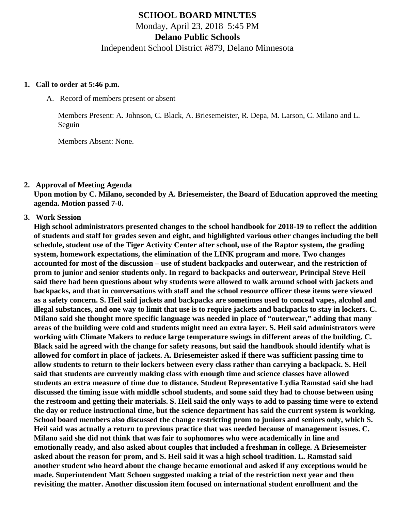# **SCHOOL BOARD MINUTES** Monday, April 23, 2018 5:45 PM **Delano Public Schools** Independent School District #879, Delano Minnesota

#### **1. Call to order at 5:46 p.m.**

A. Record of members present or absent

Members Present: A. Johnson, C. Black, A. Briesemeister, R. Depa, M. Larson, C. Milano and L. Seguin

Members Absent: None.

**2. Approval of Meeting Agenda**

**Upon motion by C. Milano, seconded by A. Briesemeister, the Board of Education approved the meeting agenda. Motion passed 7-0.**

**3. Work Session**

**High school administrators presented changes to the school handbook for 2018-19 to reflect the addition of students and staff for grades seven and eight, and highlighted various other changes including the bell schedule, student use of the Tiger Activity Center after school, use of the Raptor system, the grading system, homework expectations, the elimination of the LINK program and more. Two changes accounted for most of the discussion – use of student backpacks and outerwear, and the restriction of prom to junior and senior students only. In regard to backpacks and outerwear, Principal Steve Heil said there had been questions about why students were allowed to walk around school with jackets and backpacks, and that in conversations with staff and the school resource officer these items were viewed as a safety concern. S. Heil said jackets and backpacks are sometimes used to conceal vapes, alcohol and illegal substances, and one way to limit that use is to require jackets and backpacks to stay in lockers. C. Milano said she thought more specific language was needed in place of "outerwear," adding that many areas of the building were cold and students might need an extra layer. S. Heil said administrators were working with Climate Makers to reduce large temperature swings in different areas of the building. C. Black said he agreed with the change for safety reasons, but said the handbook should identify what is allowed for comfort in place of jackets. A. Briesemeister asked if there was sufficient passing time to allow students to return to their lockers between every class rather than carrying a backpack. S. Heil said that students are currently making class with enough time and science classes have allowed students an extra measure of time due to distance. Student Representative Lydia Ramstad said she had discussed the timing issue with middle school students, and some said they had to choose between using the restroom and getting their materials. S. Heil said the only ways to add to passing time were to extend the day or reduce instructional time, but the science department has said the current system is working. School board members also discussed the change restricting prom to juniors and seniors only, which S. Heil said was actually a return to previous practice that was needed because of management issues. C. Milano said she did not think that was fair to sophomores who were academically in line and emotionally ready, and also asked about couples that included a freshman in college. A Briesemeister asked about the reason for prom, and S. Heil said it was a high school tradition. L. Ramstad said another student who heard about the change became emotional and asked if any exceptions would be made. Superintendent Matt Schoen suggested making a trial of the restriction next year and then revisiting the matter. Another discussion item focused on international student enrollment and the**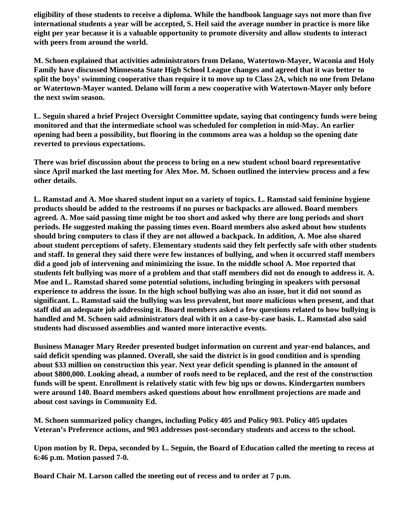**eligibility of those students to receive a diploma. While the handbook language says not more than five international students a year will be accepted, S. Heil said the average number in practice is more like eight per year because it is a valuable opportunity to promote diversity and allow students to interact with peers from around the world.**

**M. Schoen explained that activities administrators from Delano, Watertown-Mayer, Waconia and Holy Family have discussed Minnesota State High School League changes and agreed that it was better to split the boys' swimming cooperative than require it to move up to Class 2A, which no one from Delano or Watertown-Mayer wanted. Delano will form a new cooperative with Watertown-Mayer only before the next swim season.**

**L. Seguin shared a brief Project Oversight Committee update, saying that contingency funds were being monitored and that the intermediate school was scheduled for completion in mid-May. An earlier opening had been a possibility, but flooring in the commons area was a holdup so the opening date reverted to previous expectations.**

**There was brief discussion about the process to bring on a new student school board representative since April marked the last meeting for Alex Moe. M. Schoen outlined the interview process and a few other details.**

**L. Ramstad and A. Moe shared student input on a variety of topics. L. Ramstad said feminine hygiene products should be added to the restrooms if no purses or backpacks are allowed. Board members agreed. A. Moe said passing time might be too short and asked why there are long periods and short periods. He suggested making the passing times even. Board members also asked about how students should bring computers to class if they are not allowed a backpack. In addition, A. Moe also shared about student perceptions of safety. Elementary students said they felt perfectly safe with other students and staff. In general they said there were few instances of bullying, and when it occurred staff members did a good job of intervening and minimizing the issue. In the middle school A. Moe reported that students felt bullying was more of a problem and that staff members did not do enough to address it. A. Moe and L. Ramstad shared some potential solutions, including bringing in speakers with personal experience to address the issue. In the high school bullying was also an issue, but it did not sound as significant. L. Ramstad said the bullying was less prevalent, but more malicious when present, and that staff did an adequate job addressing it. Board members asked a few questions related to how bullying is handled and M. Schoen said administrators deal with it on a case-by-case basis. L. Ramstad also said students had discussed assemblies and wanted more interactive events.**

**Business Manager Mary Reeder presented budget information on current and year-end balances, and said deficit spending was planned. Overall, she said the district is in good condition and is spending about \$33 million on construction this year. Next year deficit spending is planned in the amount of about \$800,000. Looking ahead, a number of roofs need to be replaced, and the rest of the construction funds will be spent. Enrollment is relatively static with few big ups or downs. Kindergarten numbers were around 140. Board members asked questions about how enrollment projections are made and about cost savings in Community Ed.**

**M. Schoen summarized policy changes, including Policy 405 and Policy 903. Policy 405 updates Veteran's Preference actions, and 903 addresses post-secondary students and access to the school.**

**Upon motion by R. Depa, seconded by L. Seguin, the Board of Education called the meeting to recess at 6:46 p.m. Motion passed 7-0.**

**Board Chair M. Larson called the meeting out of recess and to order at 7 p.m.**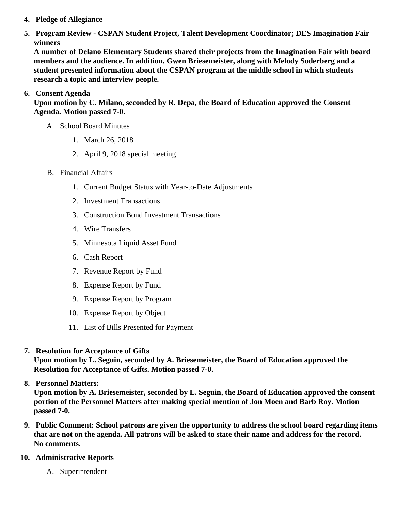- 4. Pledge of Allegiance
- 5. Program Review CSPAN Student Project, Talent Development Coordinator; DES Imagination Fair winners

A number of Delano Elementary Students shared their projects from the Imagination Fair with board members and the audience. In addition, Gwen Briesemeister, along with Melody Soderberg and a student presented information about the CSPAN program at the middle school in which students research a topic and interview people.

6. Consent Agenda

Upon motion by C. Milano, seconded by R. Depa, the Board of Education approved the Consent Agenda. Motion passed 7-0.

- A. School Board Minutes
	- 1. [March 26, 201](http://www.delano.k12.mn.us/pb/app/agenda/minutes/171)8
	- 2. [April 9, 2018 special meetin](/docs/district/2017_18/School_Board_Items/April_2018/16_Special_Meeting_Minutes_April_9,_2018.pdf)g
- B. Financial Affairs
	- 1. [Current Budget Status with Year-to-Date Adjustm](/docs/district/Business_Office/FY18_Budget_Report_Apr.pdf)ents
	- 2. [Investment Transactio](/docs/district/Business_Office/March_2018_Investment_Schedule.pdf)ns
	- 3. [Construction Bond Investment Transacti](/docs/district/Business_Office/Bond_Investment_schedule_Mar_18.pdf)ons
	- 4. [Wire Transfer](/docs/district/Business_Office/March_2018_Wire_Transfers.pdf)s
	- 5. [Minnesota Liquid Asset Fun](/docs/district/Business_Office/March_2018_Liquid_Asset_Fund.pdf)d
	- 6. [Cash Repo](/docs/district/Business_Office/March_2018_Cash_Report.pdf)rt
	- 7. [Revenue Report by Fu](/docs/district/Business_Office/Revenue_by_Fund.pdf)nd
	- 8. [Expense Report by Fu](/docs/district/Business_Office/Expense_by_Fund.pdf)nd
	- 9. [Expense Report by Progra](/docs/district/Business_Office/Exp_by_Program.pdf)m
	- 10. [Expense Report by Obje](/docs/district/Business_Office/Exp_by_Object.pdf)ct
	- 11. [List of Bills Presented for Payme](/docs/district/Business_Office/Monthly_Checks.pdf)nt
- 7. [Resolution for Acceptance of Gifts](/docs/district/Business_Office/Resolution_for_Acceptance_of_Gifts_4.23.18.pdf) Upon motion by L. Seguin, seconded by A. Briesemeister, the Board of Education approved the Resolution for Acceptance of Gifts. Motion passed 7-0.
- 8. [Personnel Matters:](/docs/district/HR/4.23.18_Personnel.pdf)

Upon motion by A. Briesemeister, seconded by L. Seguin, the Board of Education approved the consent portion of the Personnel Matters after making special mention of Jon Moen and Barb Roy. Motion passed 7-0.

- 9. Public Comment: School patrons are given the opportunity to address the school board regarding items that are not on the agenda. All patrons will be asked to state their name and address for the record. No comments.
- 10. Administrative Reports
	- A. Superintendent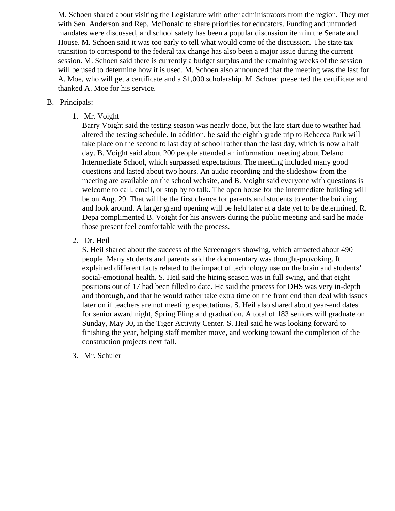M. Schoen shared about visiting the Legislature with other administrators from the region. They met with Sen. Anderson and Rep. McDonald to share priorities for educators. Funding and unfunded mandates were discussed, and school safety has been a popular discussion item in the Senate and House. M. Schoen said it was too early to tell what would come of the discussion. The state tax transition to correspond to the federal tax change has also been a major issue during the current session. M. Schoen said there is currently a budget surplus and the remaining weeks of the session will be used to determine how it is used. M. Schoen also announced that the meeting was the last for A. Moe, who will get a certificate and a \$1,000 scholarship. M. Schoen presented the certificate and thanked A. Moe for his service.

### B. Principals:

1. Mr. Voight

Barry Voight said the testing season was nearly done, but the late start due to weather had altered the testing schedule. In addition, he said the eighth grade trip to Rebecca Park will take place on the second to last day of school rather than the last day, which is now a half day. B. Voight said about 200 people attended an information meeting about Delano Intermediate School, which surpassed expectations. The meeting included many good questions and lasted about two hours. An audio recording and the slideshow from the meeting are available on the school website, and B. Voight said everyone with questions is welcome to call, email, or stop by to talk. The open house for the intermediate building will be on Aug. 29. That will be the first chance for parents and students to enter the building and look around. A larger grand opening will be held later at a date yet to be determined. R. Depa complimented B. Voight for his answers during the public meeting and said he made those present feel comfortable with the process.

2. Dr. Heil

S. Heil shared about the success of the Screenagers showing, which attracted about 490 people. Many students and parents said the documentary was thought-provoking. It explained different facts related to the impact of technology use on the brain and students' social-emotional health. S. Heil said the hiring season was in full swing, and that eight positions out of 17 had been filled to date. He said the process for DHS was very in-depth and thorough, and that he would rather take extra time on the front end than deal with issues later on if teachers are not meeting expectations. S. Heil also shared about year-end dates for senior award night, Spring Fling and graduation. A total of 183 seniors will graduate on Sunday, May 30, in the Tiger Activity Center. S. Heil said he was looking forward to finishing the year, helping staff member move, and working toward the completion of the construction projects next fall.

3. Mr. Schuler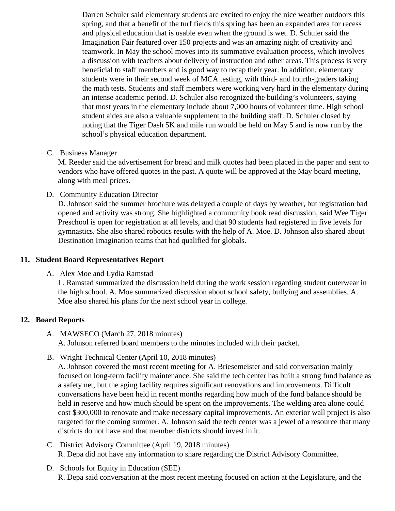Darren Schuler said elementary students are excited to enjoy the nice weather outdoors this spring, and that a benefit of the turf fields this spring has been an expanded area for recess and physical education that is usable even when the ground is wet. D. Schuler said the Imagination Fair featured over 150 projects and was an amazing night of creativity and teamwork. In May the school moves into its summative evaluation process, which involves a discussion with teachers about delivery of instruction and other areas. This process is ver beneficial to staff members and is good way to recap their year. In addition, elementary students were in their second week of MCA testing, with third- and fourth-graders taking the math tests. Students and staff members were working very hard in the elementary during an intense academic period. D. Schuler also recognized the building's volunteers, saying that most years in the elementary include about 7,000 hours of volunteer time. High school student aides are also a valuable supplement to the building staff. D. Schuler closed by noting that the Tiger Dash 5K and mile run would be held on May 5 and is now run by the school's physical education department.

C. Business Manager

M. Reeder said the advertisement for bread and milk quotes had been placed in the paper and ser vendors who have offered quotes in the past. A quote will be approved at the May board meeting, along with meal prices.

D. Community Education Director

D. Johnson said the summer brochure was delayed a couple of days by weather, but registration h opened and activity was strong. She highlighted a community book read discussion, said Wee Tige Preschool is open for registration at all levels, and that 90 students had registered in five levels for gymnastics. She also shared robotics results with the help of A. Moe. D. Johnson also shared about Destination Imagination teams that had qualified for globals.

- 11. Student Board Representatives Report
	- A. Alex Moe and Lydia Ramstad

L. Ramstad summarized the discussion held during the work session regarding student outerwear the high school. A. Moe summarized discussion about school safety, bullying and assemblies. A. Moe also shared his plans for the next school year in college.

## 12. Board Reports

- A. MAWSECO March 27, 2018 minutes A. Johnson referred board members to the minutes included with their packet.
- B. Wright Technical Center (pril 10, 2018 minutes[\)](/docs/district/2017_18/School_Board_Items/April_2018/WTC_Min_April_10.pdf)

A. Johnson covered the most recent meeting for A. Briesemeister and said conversation mainly focused on long-term facility maintenance. She said the tech center has built a strong fund balance a safety net, but the aging facility requires significant renovations and improvements. Difficult conversations have been held in recent months regarding how much of the fund balance should be held in reserve and how much should be spent on the improvements. The welding area alone could cost \$300,000 to renovate and make necessary capital improvements. An exterior wall project is al targeted for the coming summer. A. Johnson said the tech center was a jewel of a resource that man districts do not have and that member districts should invest in it.

- C. District Advisory Committe[e \(April 19, 2018 minute](/docs/district/Business_Office/DAC_Minutes_4-19-18.pdf)s) R. Depa did not have any information to share regarding the District Advisory Committee.
- D. Schools for Equity in Education (SEE) R. Depa said conversation at the most recent meeting focused on action at the Legislature, and the